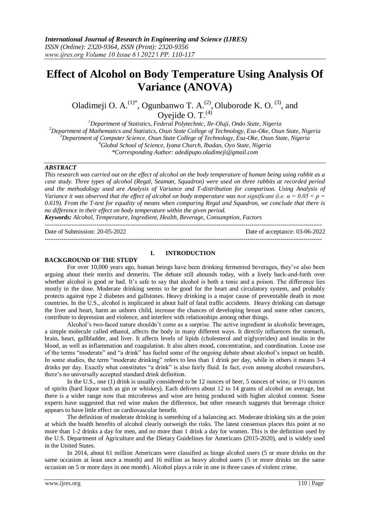# **Effect of Alcohol on Body Temperature Using Analysis Of Variance (ANOVA)**

Oladimeji O.  $A^{(1)*}$ , Ogunbanwo T.  $A^{(2)}$ , Oluborode K. O.<sup>(3)</sup>, and Oyejide O. T. $^{(4)}$ 

*Department of Statistics, Federal Polytechnic, Ile-Oluji, Ondo State, Nigeria Department of Mathematics and Statistics, Osun State College of Technology, Esa-Oke, Osun State, Nigeria Department of Computer Science, Osun State College of Technology, Esa-Oke, Osun State, Nigeria Global School of Science, Iyana Church, Ibadan, Oyo State, Nigeria \*Corresponding Author: [adedipupo.oladimeji@gmail.com](mailto:adedipupo.oladimeji@gmail.com)*

## *ABSTRACT*

*This research was carried out on the effect of alcohol on the body temperature of human being using rabbit as a case study. Three types of alcohol (Regal, Seaman, Squadron) were used on three rabbits at recorded period and the methodology used are Analysis of Variance and T-distribution for comparison. Using Analysis of Variance it was observed that the effect of alcohol on body temperature was not significant (i.e.*  $\alpha = 0.05 < p =$ *0.619). From the T-test for equality of means when comparing Regal and Squadron, we conclude that there is no difference in their effect on body temperature within the given period.* 

*Keywords: Alcohol, Temperature, Ingredient, Health, Beverage, Consumption, Factors* --------------------------------------------------------------------------------------------------------------------------------------

Date of Submission: 20-05-2022 Date of acceptance: 03-06-2022

--------------------------------------------------------------------------------------------------------------------------------------

#### **BACKGROUND OF THE STUDY**

## **I. INTRODUCTION**

For over 10,000 years ago, human beings have been drinking fermented beverages, they've also been arguing about their merits and demerits. The debate still abounds today, with a lively back-and-forth over whether alcohol is good or bad. It's safe to say that alcohol is both a tonic and a poison. The difference lies mostly in the dose. Moderate drinking seems to be good for the heart and circulatory system, and probably protects against type 2 diabetes and gallstones. Heavy drinking is a major cause of preventable death in most countries. In the U.S., alcohol is implicated in about half of fatal traffic accidents. Heavy drinking can damage the liver and heart, harm an unborn child, increase the chances of developing breast and some other cancers, contribute to depression and violence, and interfere with relationships among other things.

Alcohol's two-faced nature shouldn't come as a surprise. The active ingredient in alcoholic beverages, a simple molecule called ethanol, affects the body in many different ways. It directly influences the stomach, brain, heart, gallbladder, and liver. It affects levels of lipids (cholesterol and triglycerides) and insulin in the blood, as well as inflammation and coagulation. It also alters mood, concentration, and coordination. Loose use of the terms "moderate" and "a drink" has fueled some of the ongoing debate about alcohol's impact on health. In some studies, the term "moderate drinking" refers to less than 1 drink per day, while in others it means 3-4 drinks per day. Exactly what constitutes "a drink" is also fairly fluid. In fact, even among alcohol researchers, there's no universally accepted standard drink definition.

In the U.S., one (1) drink is usually considered to be 12 ounces of beer, 5 ounces of wine, or 1½ ounces of spirits (hard liquor such as gin or whiskey). Each delivers about 12 to 14 grams of alcohol on average, but there is a wider range now that microbrews and wine are being produced with higher alcohol content. Some experts have suggested that red wine makes the difference, but other research suggests that beverage choice appears to have little effect on cardiovascular benefit.

The definition of moderate drinking is something of a balancing act. Moderate drinking sits at the point at which the health benefits of alcohol clearly outweigh the risks. The latest consensus places this point at no more than 1-2 drinks a day for men, and no more than 1 drink a day for women. This is the definition used by the U.S. Department of Agriculture and the Dietary Guidelines for Americans (2015-2020), and is widely used in the United States.

In 2014, about 61 million Americans were classified as binge alcohol users (5 or more drinks on the same occasion at least once a month) and 16 million as heavy alcohol users (5 or more drinks on the same occasion on 5 or more days in one month). Alcohol plays a role in one in three cases of violent crime.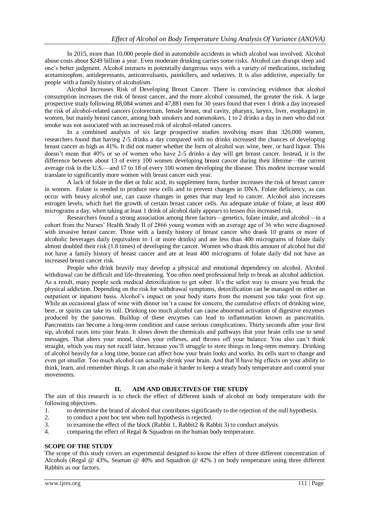In 2015, more than 10,000 people died in automobile accidents in which alcohol was involved. Alcohol abuse costs about \$249 billion a year. Even moderate drinking carries some risks. Alcohol can disrupt sleep and one's better judgment. Alcohol interacts in potentially dangerous ways with a variety of medications, including acetaminophen, antidepressants, anticonvulsants, painkillers, and sedatives. It is also addictive, especially for people with a family history of alcoholism.

Alcohol Increases Risk of Developing Breast Cancer. There is convincing evidence that alcohol consumption increases the risk of breast cancer, and the more alcohol consumed, the greater the risk. A large prospective study following 88,084 women and 47,881 men for 30 years found that even 1 drink a day increased the risk of alcohol-related cancers (colorectum, female breast, oral cavity, pharynx, larynx, liver, esophagus) in women, but mainly breast cancer, among both smokers and nonsmokers. 1 to 2 drinks a day in men who did not smoke was not associated with an increased risk of alcohol-related cancers.

In a combined analysis of six large prospective studies involving more than 320,000 women, researchers found that having 2-5 drinks a day compared with no drinks increased the chances of developing breast cancer as high as 41%. It did not matter whether the form of alcohol was wine, beer, or hard liquor. This doesn't mean that 40% or so of women who have 2-5 drinks a day will get breast cancer. Instead, it is the difference between about 13 of every 100 women developing breast cancer during their lifetime—the current average risk in the U.S.—and 17 to 18 of every 100 women developing the disease. This modest increase would translate to significantly more women with breast cancer each year.

A lack of folate in the diet or folic acid, its supplement form, further increases the risk of breast cancer in women. Folate is needed to produce new cells and to prevent changes in DNA. Folate deficiency, as can occur with heavy alcohol use, can cause changes in genes that may lead to cancer. Alcohol also increases estrogen levels, which fuel the growth of certain breast cancer cells. An adequate intake of folate, at least 400 micrograms a day, when taking at least 1 drink of alcohol daily appears to lessen this increased risk.

Researchers found a strong association among three factors—genetics, folate intake, and alcohol—in a cohort from the Nurses' Health Study II of 2866 young women with an average age of 36 who were diagnosed with invasive breast cancer. Those with a family history of breast cancer who drank 10 grams or more of alcoholic beverages daily (equivalent to 1 or more drinks) and ate less than 400 micrograms of folate daily almost doubled their risk (1.8 times) of developing the cancer. Women who drank this amount of alcohol but did not have a family history of breast cancer and ate at least 400 micrograms of folate daily did not have an increased breast cancer risk.

People who drink heavily may develop a physical and emotional dependency on alcohol. Alcohol withdrawal can be difficult and life-threatening. You often need professional help to break an alcohol addiction. As a result, many people seek medical detoxification to get sober. It's the safest way to ensure you break the physical addiction. Depending on the risk for withdrawal symptoms, detoxification can be managed on either an outpatient or inpatient basis. Alcohol's impact on your body starts from the moment you take your first sip. While an occasional glass of wine with dinner isn't a cause for concern, the cumulative effects of drinking wine, beer, or spirits can take its toll. Drinking too much alcohol can cause abnormal activation of digestive enzymes produced by the pancreas. Buildup of these enzymes can lead to inflammation known as pancreatitis. Pancreatitis can become a long-term condition and cause serious complications. Thirty seconds after your first sip, alcohol races into your brain. It slows down the chemicals and pathways that your brain cells use to send messages. That alters your mood, slows your reflexes, and throws off your balance. You also can't think straight, which you may not recall later, because you'll struggle to store things in long-term memory. Drinking of alcohol heavily for a long time, booze can affect how your brain looks and works. Its cells start to change and even get smaller. Too much alcohol can actually shrink your brain. And that'll have big effects on your ability to think, learn, and remember things. It can also make it harder to keep a steady body temperature and control your movements.

# **II. AIM AND OBJECTIVES OF THE STUDY**

The aim of this research is to check the effect of different kinds of alcohol on body temperature with the following objectives.

- 1. to determine the brand of alcohol that contributes significantly to the rejection of the null hypothesis.
- 2. to conduct a post hoc test when null hypothesis is rejected.
- 3. to examine the effect of the block (Rabbit 1, Rabbit 2 & Rabbit 3) to conduct analysis
- 4. comparing the effect of Regal & Squadron on the human body temperature.

# **SCOPE OF THE STUDY**

The scope of this study covers an experimental designed to know the effect of three different concentration of Alcohols (Regal @ 43%, Seaman @ 40% and Squadron @ 42% ) on body temperature using three different Rabbits as our factors.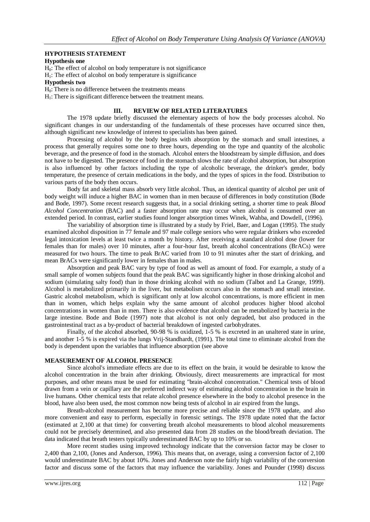### **HYPOTHESIS STATEMENT**

## **Hypothesis one**

 $H<sub>0</sub>$ : The effect of alcohol on body temperature is not significance

 $H<sub>1</sub>$ : The effect of alcohol on body temperature is significance

#### **Hypothesis two**

 $H<sub>0</sub>$ : There is no difference between the treatments means

 $H<sub>1</sub>$ : There is significant difference between the treatment means.

## **III. REVIEW OF RELATED LITERATURES**

The 1978 update briefly discussed the elementary aspects of how the body processes alcohol. No significant changes in our understanding of the fundamentals of these processes have occurred since then, although significant new knowledge of interest to specialists has been gained.

Processing of alcohol by the body begins with absorption by the stomach and small intestines, a process that generally requires some one to three hours, depending on the type and quantity of the alcoholic beverage, and the presence of food in the stomach. Alcohol enters the bloodstream by simple diffusion, and does not have to be digested. The presence of food in the stomach slows the rate of alcohol absorption, but absorption is also influenced by other factors including the type of alcoholic beverage, the drinker's gender, body temperature, the presence of certain medications in the body, and the types of spices in the food. Distribution to various parts of the body then occurs.

Body fat and skeletal mass absorb very little alcohol. Thus, an identical quantity of alcohol per unit of body weight will induce a higher BAC in women than in men because of differences in body constitution (Bode and Bode, 1997). Some recent research suggests that, in a social drinking setting, a shorter time to peak *Blood Alcohol Concentration* (BAC) and a faster absorption rate may occur when alcohol is consumed over an extended period. In contrast, earlier studies found longer absorption times Winek, Wahba, and Dowdell, (1996).

The variability of absorption time is illustrated by a study by Friel, Baer, and Logan (1995). The study examined alcohol disposition in 77 female and 97 male college seniors who were regular drinkers who exceeded legal intoxication levels at least twice a month by history. After receiving a standard alcohol dose (lower for females than for males) over 10 minutes, after a four-hour fast, breath alcohol concentrations (BrACs) were measured for two hours. The time to peak BrAC varied from 10 to 91 minutes after the start of drinking, and mean BrACs were significantly lower in females than in males.

Absorption and peak BAC vary by type of food as well as amount of food. For example, a study of a small sample of women subjects found that the peak BAC was significantly higher in those drinking alcohol and sodium (simulating salty food) than in those drinking alcohol with no sodium (Talbot and La Grange, 1999). Alcohol is metabolized primarily in the liver, but metabolism occurs also in the stomach and small intestine. Gastric alcohol metabolism, which is significant only at low alcohol concentrations, is more efficient in men than in women, which helps explain why the same amount of alcohol produces higher blood alcohol concentrations in women than in men. There is also evidence that alcohol can be metabolized by bacteria in the large intestine. Bode and Bode (1997) note that alcohol is not only degraded, but also produced in the gastrointestinal tract as a by-product of bacterial breakdown of ingested carbohydrates.

Finally, of the alcohol absorbed, 90-98 % is oxidized, 1-5 % is excreted in an unaltered state in urine, and another 1-5 % is expired via the lungs Vrij-Standhardt, (1991). The total time to eliminate alcohol from the body is dependent upon the variables that influence absorption (see above

## **MEASUREMENT OF ALCOHOL PRESENCE**

Since alcohol's immediate effects are due to its effect on the brain, it would be desirable to know the alcohol concentration in the brain after drinking. Obviously, direct measurements are impractical for most purposes, and other means must be used for estimating "brain-alcohol concentration." Chemical tests of blood drawn from a vein or capillary are the preferred indirect way of estimating alcohol concentration in the brain in live humans. Other chemical tests that relate alcohol presence elsewhere in the body to alcohol presence in the blood, have also been used, the most common now being tests of alcohol in air expired from the lungs.

Breath-alcohol measurement has become more precise and reliable since the 1978 update, and also more convenient and easy to perform, especially in forensic settings. The 1978 update noted that the factor (estimated at 2,100 at that time) for converting breath alcohol measurements to blood alcohol measurements could not be precisely determined, and also presented data from 28 studies on the blood/breath deviation. The data indicated that breath testers typically underestimated BAC by up to 10% or so.

More recent studies using improved technology indicate that the conversion factor may be closer to 2,400 than 2,100, (Jones and Anderson, 1996). This means that, on average, using a conversion factor of 2,100 would underestimate BAC by about 10%. Jones and Anderson note the fairly high variability of the conversion factor and discuss some of the factors that may influence the variability. Jones and Pounder (1998) discuss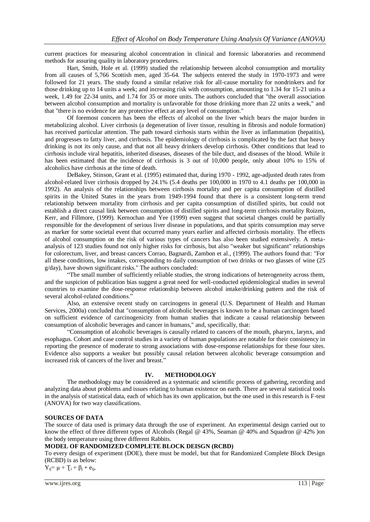current practices for measuring alcohol concentration in clinical and forensic laboratories and recommend methods for assuring quality in laboratory procedures.

Hart, Smith, Hole et al. (1999) studied the relationship between alcohol consumption and mortality from all causes of 5,766 Scottish men, aged 35-64. The subjects entered the study in 1970-1973 and were followed for 21 years. The study found a similar relative risk for all-cause mortality for nondrinkers and for those drinking up to 14 units a week; and increasing risk with consumption, amounting to 1.34 for 15-21 units a week, 1.49 for 22-34 units, and 1.74 for 35 or more units. The authors concluded that "the overall association between alcohol consumption and mortality is unfavorable for those drinking more than 22 units a week," and that "there is no evidence for any protective effect at any level of consumption."

Of foremost concern has been the effects of alcohol on the liver which bears the major burden in metabolizing alcohol. Liver cirrhosis (a degeneration of liver tissue, resulting in fibrosis and nodule formation) has received particular attention. The path toward cirrhosis starts within the liver as inflammation (hepatitis), and progresses to fatty liver, and cirrhosis. The epidemiology of cirrhosis is complicated by the fact that heavy drinking is not its only cause, and that not all heavy drinkers develop cirrhosis. Other conditions that lead to cirrhosis include viral hepatitis, inherited diseases, diseases of the bile duct, and diseases of the blood. While it has been estimated that the incidence of cirrhosis is 3 out of 10,000 people, only about 10% to 15% of alcoholics have cirrhosis at the time of death.

DeBakey, Stinson, Grant et al. (1995) estimated that, during 1970 - 1992, age-adjusted death rates from alcohol-related liver cirrhosis dropped by 24.1% (5.4 deaths per 100,000 in 1970 to 4.1 deaths per 100,000 in 1992). An analysis of the relationships between cirrhosis mortality and per capita consumption of distilled spirits in the United States in the years from 1949-1994 found that there is a consistent long-term trend relationship between mortality from cirrhosis and per capita consumption of distilled spirits, but could not establish a direct causal link between consumption of distilled spirits and long-term cirrhosis mortality Roizen, Kerr, and Fillmore, (1999). Kernochan and Yee (1999) even suggest that societal changes could be partially responsible for the development of serious liver disease in populations, and that spirits consumption may serve as marker for some societal event that occurred many years earlier and affected cirrhosis mortality. The effects of alcohol consumption on the risk of various types of cancers has also been studied extensively. A metaanalysis of 123 studies found not only higher risks for cirrhosis, but also "weaker but significant" relationships for colorectum, liver, and breast cancers Corrao, Bagnardi, Zambon et al., (1999). The authors found that: "For all these conditions, low intakes, corresponding to daily consumption of two drinks or two glasses of wine (25 g/day), have shown significant risks." The authors concluded:

"The small number of sufficiently reliable studies, the strong indications of heterogeneity across them, and the suspicion of publication bias suggest a great need for well-conducted epidemiological studies in several countries to examine the dose-response relationship between alcohol intake/drinking pattern and the risk of several alcohol-related conditions."

Also, an extensive recent study on carcinogens in general (U.S. Department of Health and Human Services, 2000a) concluded that "consumption of alcoholic beverages is known to be a human carcinogen based on sufficient evidence of carcinogenicity from human studies that indicate a causal relationship between consumption of alcoholic beverages and cancer in humans," and, specifically, that:

"Consumption of alcoholic beverages is causally related to cancers of the mouth, pharynx, larynx, and esophagus. Cohort and case control studies in a variety of human populations are notable for their consistency in reporting the presence of moderate to strong associations with dose-response relationships for these four sites. Evidence also supports a weaker but possibly causal relation between alcoholic beverage consumption and increased risk of cancers of the liver and breast.'

#### **IV. METHODOLOGY**

The methodology may be considered as a systematic and scientific process of gathering, recording and analyzing data about problems and issues relating to human existence on earth. There are several statistical tools in the analysis of statistical data, each of which has its own application, but the one used in this research is F-test (ANOVA) for two way classifications.

#### **SOURCES OF DATA**

The source of data used is primary data through the use of experiment. An experimental design carried out to know the effect of three different types of Alcohols (Regal @ 43%, Seaman @ 40% and Squadron @ 42% )on the body temperature using three different Rabbits.

## **MODEL OF RANDOMIZED COMPLETE BLOCK DEISGN (RCBD)**

To every design of experiment (DOE), there must be model, but that for Randomized Complete Block Design (RCBD) is as below:

 $Y_{ii} = μ + T_i + β_i + e_{ii}$ ,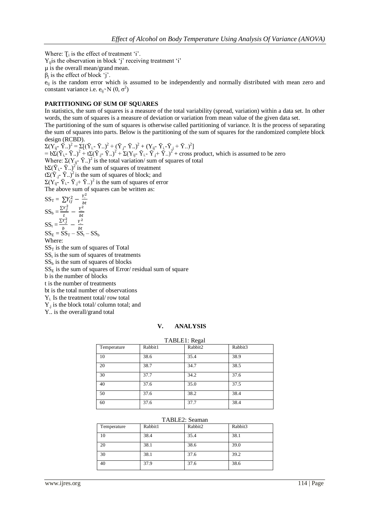Where:  $T_i$  is the effect of treatment 'i'.

 $Y_{ij}$  is the observation in block 'j' receiving treatment 'i'

- µ is the overall mean/grand mean.
- $\beta_j$  is the effect of block 'j'.

 $e_{ii}$  is the random error which is assumed to be independently and normally distributed with mean zero and constant variance i.e.  $e_{ij}N(0, \sigma^2)$ 

## **PARTITIONING OF SUM OF SQUARES**

In statistics, the sum of squares is a measure of the total variability (spread, variation) within a data set. In other words, the sum of squares is a measure of deviation or variation from mean value of the given data set.

The partitioning of the sum of squares is otherwise called partitioning of variance. It is the process of separating the sum of squares into parts. Below is the partitioning of the sum of squares for the randomized complete block design (RCBD).

 $\Sigma (Y_{ij} - \bar{Y}_{..})^2 = \Sigma [(\bar{Y}_{i} - \bar{Y}_{..})^2 + (\bar{Y}_{j} - \bar{Y}_{..})^2 + (Y_{ij} - \bar{Y}_{i} - \bar{Y}_{.j} + \bar{Y}_{..})^2]$  $= b\Sigma (\bar{Y}_{i} - \bar{Y}_{i})^2 + t\Sigma (\bar{Y}_{j} - \bar{Y}_{i})^2 + \Sigma (Y_{ij} - \bar{Y}_{i} - \bar{Y}_{j} + \bar{Y}_{i})^2 + \text{cross product, which is assumed to be zero}$ Where:  $\Sigma(Y_{ij} - \bar{Y})^2$  is the total variation/ sum of squares of total b $\Sigma(\bar{Y}_{i,-}\bar{Y}_{\cdot\cdot})^2$  is the sum of squares of treatment  $t\Sigma(\bar{Y}_{.j} - \bar{Y}_{.j})^2$  is the sum of squares of block; and  $\Sigma(Y_{ij}$ -  $\bar{Y}_{i}$ -  $\bar{Y}_{.j}$ +  $\bar{Y}_{..}$ )<sup>2</sup> is the sum of squares of error The above sum of squares can be written as:  $SS_T = \sum Y_{ij}^2 - \frac{Y_i^2}{Nt}$ b

$$
SS_b = \frac{\Sigma r_j^2}{t} - \frac{r^2}{bt}
$$
  
\n
$$
SS_t = \frac{\Sigma r_j^2}{b} - \frac{r^2}{bt}
$$
  
\n
$$
SS_E = SS_T - SS_t - SS_b
$$

Where:

 $SS<sub>T</sub>$  is the sum of squares of Total

 $SS<sub>t</sub>$  is the sum of squares of treatments

 $SS<sub>b</sub>$  is the sum of squares of blocks

 $SS<sub>E</sub>$  is the sum of squares of Error/ residual sum of square

b is the number of blocks

t is the number of treatments

bt is the total number of observations

 $Y_i$ . Is the treatment total/row total

 $Y_{.j}$  is the block total/ column total; and

Y.. is the overall/grand total

## **V. ANALYSIS**

| TABLE1: Regal |         |         |         |  |  |  |  |  |
|---------------|---------|---------|---------|--|--|--|--|--|
| Temperature   | Rabbit1 | Rabbit2 | Rabbit3 |  |  |  |  |  |
| 10            | 38.6    | 35.4    | 38.9    |  |  |  |  |  |
| 20            | 38.7    | 34.7    | 38.5    |  |  |  |  |  |
| 30            | 37.7    | 34.2    | 37.6    |  |  |  |  |  |
| 40            | 37.6    | 35.0    | 37.5    |  |  |  |  |  |
| 50            | 37.6    | 38.2    | 38.4    |  |  |  |  |  |
| 60            | 37.6    | 37.7    | 38.4    |  |  |  |  |  |

#### TABLE2: Seaman

| Temperature | Rabbit1 | Rabbit2 | Rabbit3 |
|-------------|---------|---------|---------|
| 10          | 38.4    | 35.4    | 38.1    |
| 20          | 38.1    | 38.6    | 39.0    |
| 30          | 38.1    | 37.6    | 39.2    |
| 40          | 37.9    | 37.6    | 38.6    |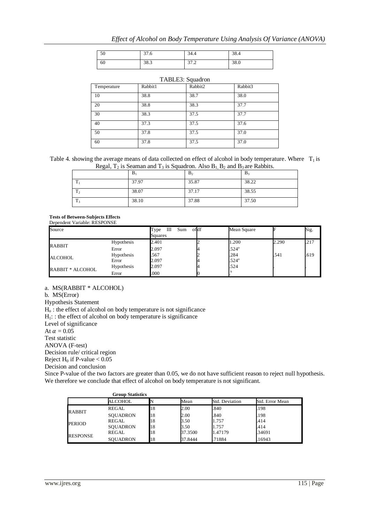| $\epsilon$   | $\sim$ | 34.4            | 20   |
|--------------|--------|-----------------|------|
| $50^{\circ}$ | 31.O   |                 | 58.4 |
| 60           | 38.3   | $\sim$<br>ے ، ر | 38.0 |

|             | TABLE3: Squadron |         |         |  |  |  |  |  |  |
|-------------|------------------|---------|---------|--|--|--|--|--|--|
| Temperature | Rabbit1          | Rabbit2 | Rabbit3 |  |  |  |  |  |  |
| 10          | 38.8             | 38.7    | 38.0    |  |  |  |  |  |  |
| 20          | 38.8             | 38.3    | 37.7    |  |  |  |  |  |  |
| 30          | 38.3             | 37.5    | 37.7    |  |  |  |  |  |  |
| 40          | 37.3             | 37.5    | 37.6    |  |  |  |  |  |  |
| 50          | 37.8             | 37.5    | 37.0    |  |  |  |  |  |  |
| 60          | 37.8             | 37.5    | 37.0    |  |  |  |  |  |  |

| Table 4. showing the average means of data collected on effect of alcohol in body temperature. Where $T_1$ is |  |
|---------------------------------------------------------------------------------------------------------------|--|
| Regal, $T_2$ is Seaman and $T_3$ is Squadron. Also $B_1$ , $B_2$ and $B_3$ are Rabbits.                       |  |

|                | $B_1$ | B <sub>2</sub> | $B_3$ |
|----------------|-------|----------------|-------|
| m              | 37.97 | 35.87          | 38.22 |
| T <sub>2</sub> | 38.07 | 37.17          | 38.55 |
| m<br>13        | 38.10 | 37.88          | 37.50 |

**Tests of Between-Subjects Effects** Dependent Variable: RESPONSE

| Source                                |            | Sum<br>Ш<br>Type<br>Squares | ofdf | Mean Square       |       | Sig. |
|---------------------------------------|------------|-----------------------------|------|-------------------|-------|------|
| RABBIT<br>ALCOHOL<br>RABBIT * ALCOHOL | Hypothesis | 2.401                       |      | 1.200             | 2.290 | .217 |
|                                       | Error      | 2.097                       |      | .524 <sup>a</sup> |       |      |
|                                       | Hypothesis | .567                        |      | .284              | .541  | .619 |
|                                       | Error      | 2.097                       |      | .524 <sup>a</sup> |       |      |
|                                       | Hypothesis | 2.097                       |      | .524              |       |      |
|                                       | Error      | .000                        |      |                   |       |      |

a. MS(RABBIT \* ALCOHOL)

b. MS(Error)

Hypothesis Statement

 $H<sub>o</sub>$ : the effect of alcohol on body temperature is not significance

 $H_1$ : : the effect of alcohol on body temperature is significance

Level of significance

At  $\alpha = 0.05$ 

Test statistic

ANOVA (F-test)

Decision rule/ critical region

Reject  $H_0$  if P-value  $< 0.05$ 

Decision and conclusion

Since P-value of the two factors are greater than 0.05, we do not have sufficient reason to reject null hypothesis. We therefore we conclude that effect of alcohol on body temperature is not significant.

|               | <b>Group Statistics</b> |    |         |                |                 |
|---------------|-------------------------|----|---------|----------------|-----------------|
|               | ALCOHOL                 |    | Mean    | Std. Deviation | Std. Error Mean |
|               | REGAL                   | 18 | 2.00    | .840           | .198            |
| RABBIT        | <b>SOUADRON</b>         | 18 | 2.00    | .840           | .198            |
| <b>PERIOD</b> | REGAL                   | 18 | 3.50    | 1.757          | .414            |
|               | <b>SOUADRON</b>         | 18 | 3.50    | 1.757          | .414            |
| RESPONSE      | REGAL                   | 18 | 37.3500 | 1.47179        | .34691          |
|               | <b>SOUADRON</b>         | 18 | 37.8444 | .71884         | .16943          |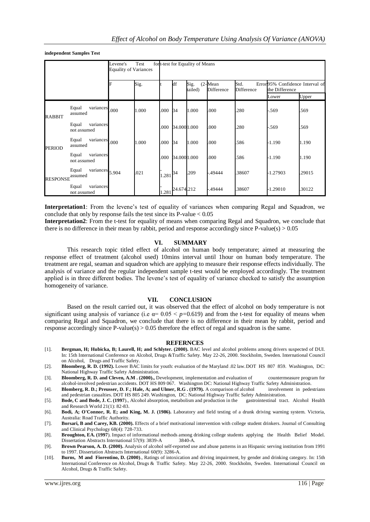**independent Samples Test**

|               |                                   | Test<br>fort-test for Equality of Means<br>Levene's<br><b>Equality of Variances</b> |       |              |                    |                 |                          |                    |                                                   |        |
|---------------|-----------------------------------|-------------------------------------------------------------------------------------|-------|--------------|--------------------|-----------------|--------------------------|--------------------|---------------------------------------------------|--------|
|               |                                   | F                                                                                   | Sig.  |              | df                 | Sig.<br>tailed) | $(2$ -Mean<br>Difference | Std.<br>Difference | Error95% Confidence Interval of<br>the Difference |        |
|               |                                   |                                                                                     |       |              |                    |                 |                          |                    | Lower                                             | Upper  |
| RABBIT        | variances<br>Equal<br>assumed     | .000                                                                                | 1.000 | .000         | 34                 | 1.000           | .000                     | .280               | .569                                              | .569   |
|               | variances<br>Equal<br>not assumed |                                                                                     |       | .000         | 34.0001.000        |                 | .000                     | .280               | -.569                                             | .569   |
| <b>PERIOD</b> | variances<br>Equal<br>assumed     | .000                                                                                | 1.000 | .000         | 34                 | 1.000           | .000                     | .586               | $-1.190$                                          | 1.190  |
|               | variances<br>Equal<br>not assumed |                                                                                     |       | .000         | 34.0001.000        |                 | .000                     | .586               | $-1.190$                                          | 1.190  |
| RESPONSE      | variances<br>Equal<br>assumed     | 5.904                                                                               | .021  | $1.281^{34}$ |                    | .209            | -.49444                  | .38607             | -1.27903                                          | .29015 |
|               | variances<br>Equal<br>not assumed |                                                                                     |       |              | $281^{24.674.212}$ |                 | -.49444                  | .38607             | -1.29010                                          | .30122 |

**Interpretation1**: From the levene's test of equality of variances when comparing Regal and Squadron, we conclude that only by response fails the test since its P-value  $< 0.05$ 

**Interpretation2**: From the t-test for equality of means when comparing Regal and Squadron, we conclude that there is no difference in their mean by rabbit, period and response accordingly since P-value(s)  $> 0.05$ 

#### **VI. SUMMARY**

This research topic titled effect of alcohol on human body temperature; aimed at measuring the response effect of treatment (alcohol used) 10mins interval until 1hour on human body temperature. The treatment are regal, seaman and squadron which are applying to measure their response effects individually. The analysis of variance and the regular independent sample t-test would be employed accordingly. The treatment applied is in three different bodies. The levene's test of equality of variance checked to satisfy the assumption homogeneity of variance.

#### **VII. CONCLUSION**

Based on the result carried out, it was observed that the effect of alcohol on body temperature is not significant using analysis of variance (i.e  $\alpha$  = 0.05 < *p*=0.619) and from the t-test for equality of means when comparing Regal and Squadron, we conclude that there is no difference in their mean by rabbit, period and response accordingly since  $P$ -value(s) > 0.05 therefore the effect of regal and squadron is the same.

#### **REFERNCES**

- [1]. **Bergman, H; Hubicka, B; Laurell, H; and Schlyter. (2000).** BAC level and alcohol problems among drivers suspected of DUI. In: 15th International Conference on Alcohol, Drugs &Traffic Safety. May 22-26, 2000. Stockholm, Sweden. International Council on Alcohol, Drugs and Traffic Safety.
- [2]. **Bloomberg, R. D. (1992).** Lower BAC limits for youth: evaluation of the Maryland .02 law.DOT HS 807 859. Washington, DC: National Highway Traffic Safety Administration.
- [3]. **Bloomberg, R. D. and Cleven, A.M . (2000).,** Development, implementation and evaluation of countermeasure program for alcohol-involved pedestrian accidents. DOT HS 809 067. Washington DC: National Highway Traffic Safety Administration.
- [4]. **Blomberg, R. D.; Preusser, D. F.; Hale, A; and Ulmer, R.G . (1979).** A comparison of alcohol involvement in pedestrians
- and pedestrian casualties. DOT HS 805 249. Washington, DC: National Highway Traffic Safety Administration.<br>Bode, C and Bode, J. C. (1997)., Alcohol absorption, metabolism and production in the gastrointestinal tract. Alcoh [5]. **Bode, C and Bode, J. C. (1997**)., Alcohol absorption, metabolism and production in the and Research World 21(1): 82-83.
- [6]. **Bodi, A; O'Connor, R. E; and King, M. J. (1986).** Laboratory and field testing of a drunk driving warning system. Victoria, Australia: Road Traffic Authority.
- [7]. **Borsari, B and Carey, KB. (2000).** Effects of a brief motivational intervention with college student drinkers. Journal of Consulting and Clinical Psychology 68(4): 728-733.
- [8]. **Broughton, EA. (1997**). Impact of informational methods among drinking college students applying the Health Belief Model. Dissertation Abstracts International 57(9): 3839-A 3840-A. Dissertation Abstracts International 57(9): 3839-A.
- [9]. **Brown Pearson, A. D. (2000).** Analysis of alcohol self-reported use and abuse patterns in an Hispanic serving institution from 1991 to 1997. Dissertation Abstracts International 60(9): 3286-A.
- [10]. **Burns, M and Fiorentino, D. (2000)**., Ratings of intoxication and driving impairment, by gender and drinking category. In: 15th International Conference on Alcohol, Drugs & Traffic Safety. May 22-26, 2000. Stockholm, Sweden. International Council on Alcohol, Drugs & Traffic Safety.